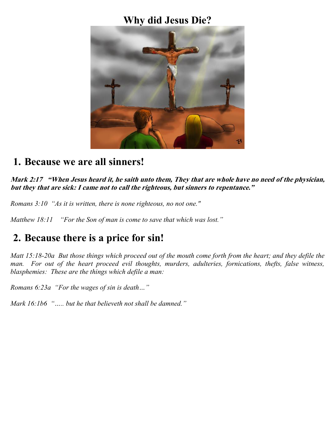### **Why did Jesus Die?**



### **1. Because we are all sinners!**

*Mark 2:17 "When Jesus heard it, he saith unto them, They that are whole have no need of the physician, but they that are sick: I came not to call the righteous, but sinners to repentance."*

*Romans 3:10 "As it is written, there is none righteous, no not one."*

*Matthew 18:11 "For the Son of man is come to save that which was lost."*

# **2. Because there is a price for sin!**

*Matt 15:18-20a But those things which proceed out of the mouth come forth from the heart; and they defile the man. For out of the heart proceed evil thoughts, murders, adulteries, fornications, thefts, false witness, blasphemies: These are the things which defile a man:*

*Romans 6:23a "For the wages of sin is death…"*

*Mark 16:1b6 "….. but he that believeth not shall be damned."*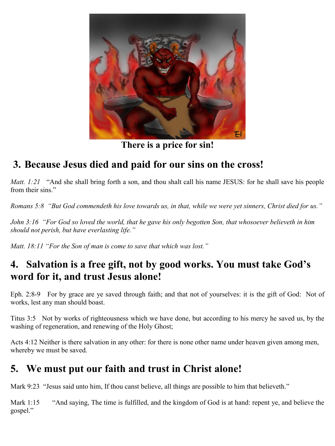

**There is a price for sin!**

# **3. Because Jesus died and paid for our sins on the cross!**

*Matt. 1:21* "And she shall bring forth a son, and thou shalt call his name JESUS: for he shall save his people from their sins."

*Romans 5:8 "But God commendeth his love towards us, in that, while we were yet sinners, Christ died for us."*

*John 3:16 "For God so loved the world, that he gave his only begotten Son, that whosoever believeth in him should not perish, but have everlasting life."*

*Matt. 18:11 "For the Son of man is come to save that which was lost."*

## **4. Salvation is a free gift, not by good works. You must take God's word for it, and trust Jesus alone!**

Eph. 2:8-9 For by grace are ye saved through faith; and that not of yourselves: it is the gift of God: Not of works, lest any man should boast.

Titus 3:5 Not by works of righteousness which we have done, but according to his mercy he saved us, by the washing of regeneration, and renewing of the Holy Ghost;

Acts 4:12 Neither is there salvation in any other: for there is none other name under heaven given among men, whereby we must be saved.

## **5. We must put our faith and trust in Christ alone!**

Mark 9:23 "Jesus said unto him, If thou canst believe, all things are possible to him that believeth."

Mark 1:15 "And saying, The time is fulfilled, and the kingdom of God is at hand: repent ye, and believe the gospel."